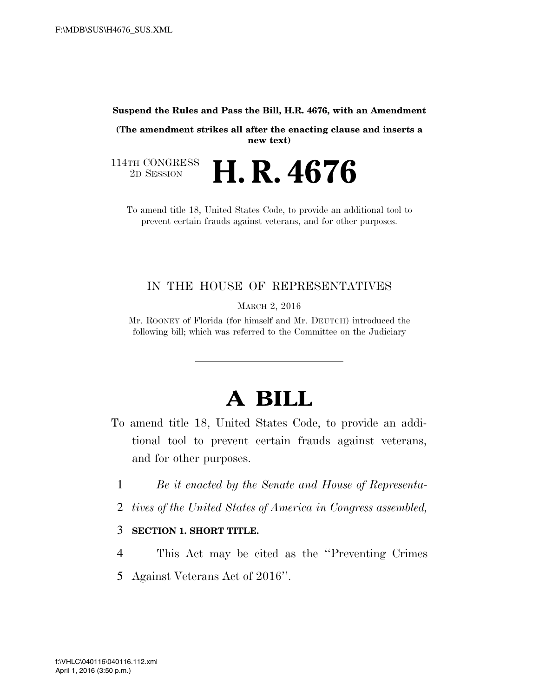#### **Suspend the Rules and Pass the Bill, H.R. 4676, with an Amendment**

**(The amendment strikes all after the enacting clause and inserts a new text)** 

114TH CONGRESS<br>2D SESSION 2D SESSION **H. R. 4676** 

To amend title 18, United States Code, to provide an additional tool to prevent certain frauds against veterans, and for other purposes.

#### IN THE HOUSE OF REPRESENTATIVES

MARCH 2, 2016

Mr. ROONEY of Florida (for himself and Mr. DEUTCH) introduced the following bill; which was referred to the Committee on the Judiciary

# **A BILL**

- To amend title 18, United States Code, to provide an additional tool to prevent certain frauds against veterans, and for other purposes.
	- 1 *Be it enacted by the Senate and House of Representa-*
	- 2 *tives of the United States of America in Congress assembled,*

#### 3 **SECTION 1. SHORT TITLE.**

4 This Act may be cited as the ''Preventing Crimes 5 Against Veterans Act of 2016''.